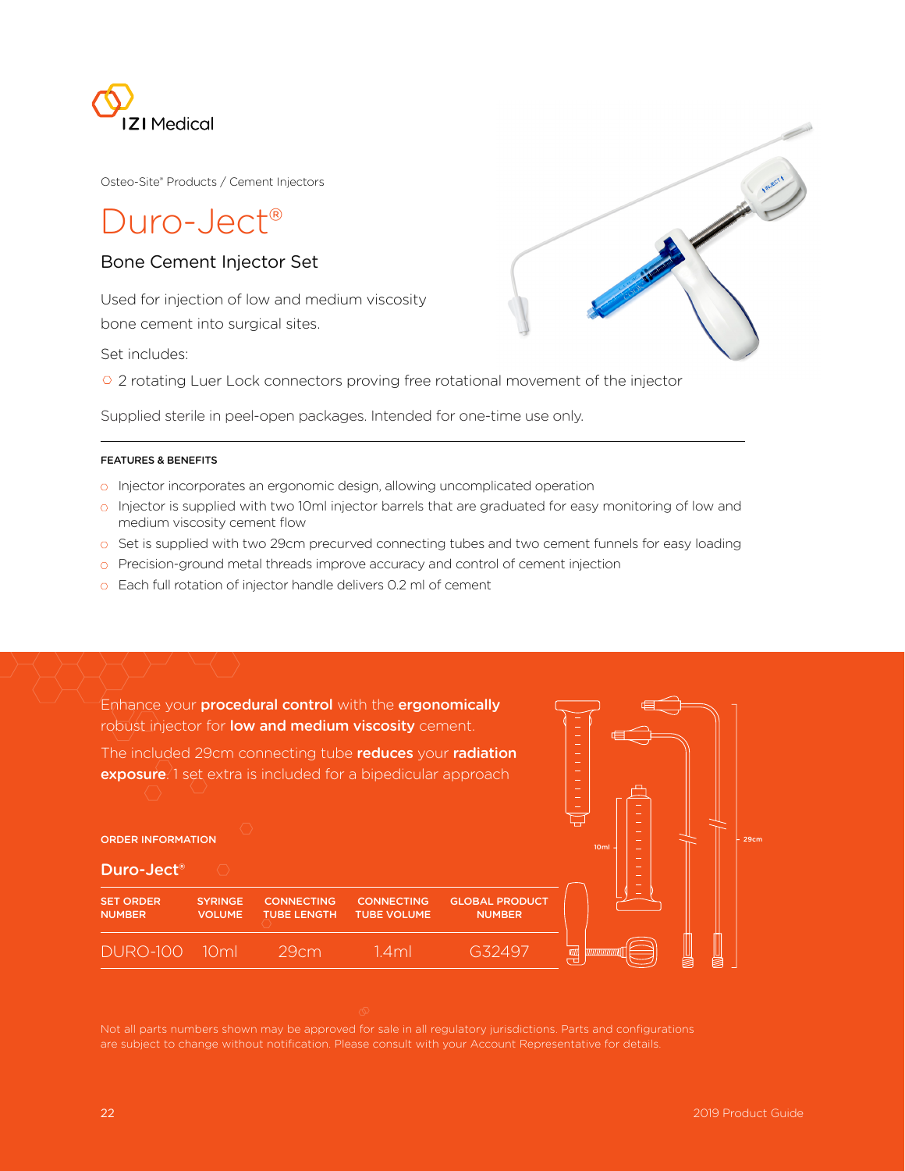

Osteo-Site® Products / Cement Injectors

# Duro-Ject<sup>®</sup>

## Bone Cement Injector Set

Used for injection of low and medium viscosity bone cement into surgical sites.

Set includes:

<sup>2</sup> 2 rotating Luer Lock connectors proving free rotational movement of the injector

Supplied sterile in peel-open packages. Intended for one-time use only.

#### FEATURES & BENEFITS

ORDER INFORMATION

Duro-Ject®

- o Injector incorporates an ergonomic design, allowing uncomplicated operation
- o Injector is supplied with two 10ml injector barrels that are graduated for easy monitoring of low and medium viscosity cement flow
- $\circ$  Set is supplied with two 29cm precurved connecting tubes and two cement funnels for easy loading
- $\circ$  Precision-ground metal threads improve accuracy and control of cement injection
- o Each full rotation of injector handle delivers 0.2 ml of cement

Enhance your **procedural control** with the **ergonomically** robust injector for **low and medium viscosity** cement.

The included 29cm connecting tube reduces your radiation exposure.<sup>1</sup> set extra is included for a bipedicular approach



29cm

Beautiful Company